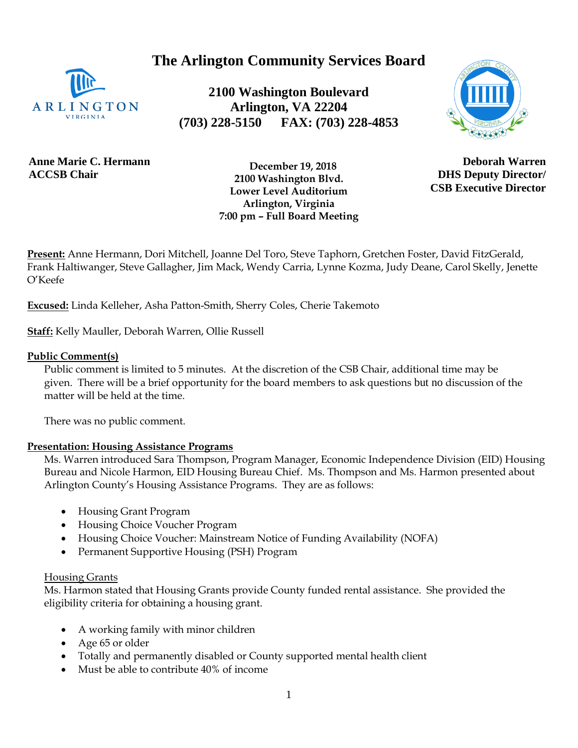**The Arlington Community Services Board**



**2100 Washington Boulevard Arlington, VA 22204 (703) 228-5150 FAX: (703) 228-4853**



**Anne Marie C. Hermann ACCSB Chair**

 **December 19, 2018 2100 Washington Blvd. Lower Level Auditorium Arlington, Virginia 7:00 pm – Full Board Meeting**

**Deborah Warren DHS Deputy Director/ CSB Executive Director**

**Present:** Anne Hermann, Dori Mitchell, Joanne Del Toro, Steve Taphorn, Gretchen Foster, David FitzGerald, Frank Haltiwanger, Steve Gallagher, Jim Mack, Wendy Carria, Lynne Kozma, Judy Deane, Carol Skelly, Jenette O'Keefe

**Excused:** Linda Kelleher, Asha Patton-Smith, Sherry Coles, Cherie Takemoto

**Staff:** Kelly Mauller, Deborah Warren, Ollie Russell

#### **Public Comment(s)**

Public comment is limited to 5 minutes. At the discretion of the CSB Chair, additional time may be given. There will be a brief opportunity for the board members to ask questions [but](http://but.no/) no discussion of the matter will be held at the time.

There was no public comment.

### **Presentation: Housing Assistance Programs**

Ms. Warren introduced Sara Thompson, Program Manager, Economic Independence Division (EID) Housing Bureau and Nicole Harmon, EID Housing Bureau Chief. Ms. Thompson and Ms. Harmon presented about Arlington County's Housing Assistance Programs. They are as follows:

- Housing Grant Program
- Housing Choice Voucher Program
- Housing Choice Voucher: Mainstream Notice of Funding Availability (NOFA)
- Permanent Supportive Housing (PSH) Program

#### Housing Grants

Ms. Harmon stated that Housing Grants provide County funded rental assistance. She provided the eligibility criteria for obtaining a housing grant.

- A working family with minor children
- Age 65 or older
- Totally and permanently disabled or County supported mental health client
- Must be able to contribute 40% of income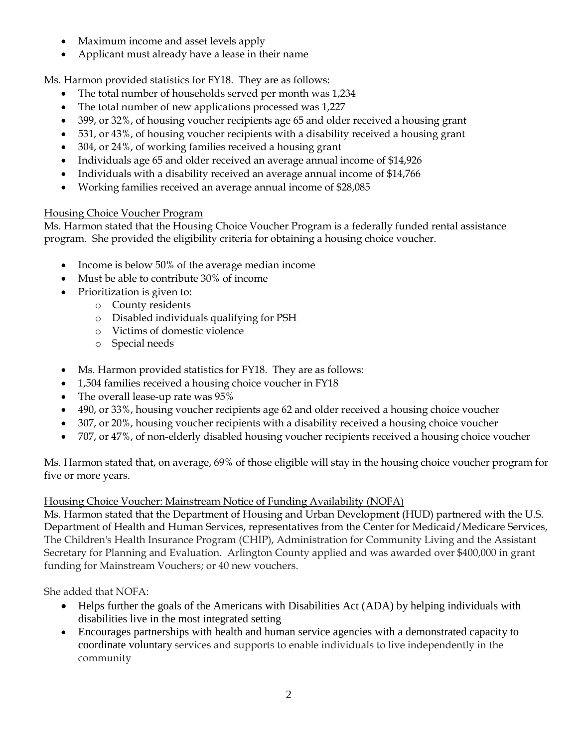- Maximum income and asset levels apply
- Applicant must already have a lease in their name

Ms. Harmon provided statistics for FY18. They are as follows:

- The total number of households served per month was 1,234
- The total number of new applications processed was 1,227
- 399, or 32%, of housing voucher recipients age 65 and older received a housing grant
- 531, or 43%, of housing voucher recipients with a disability received a housing grant
- 304, or 24%, of working families received a housing grant
- Individuals age 65 and older received an average annual income of \$14,926
- Individuals with a disability received an average annual income of \$14,766
- Working families received an average annual income of \$28,085

# Housing Choice Voucher Program

Ms. Harmon stated that the Housing Choice Voucher Program is a federally funded rental assistance program. She provided the eligibility criteria for obtaining a housing choice voucher.

- Income is below 50% of the average median income
- Must be able to contribute 30% of income
- Prioritization is given to:
	- o County residents
	- o Disabled individuals qualifying for PSH
	- o Victims of domestic violence
	- o Special needs
- Ms. Harmon provided statistics for FY18. They are as follows:
- 1,504 families received a housing choice voucher in FY18
- The overall lease-up rate was 95%
- 490, or 33%, housing voucher recipients age 62 and older received a housing choice voucher
- 307, or 20%, housing voucher recipients with a disability received a housing choice voucher
- 707, or 47%, of non-elderly disabled housing voucher recipients received a housing choice voucher

Ms. Harmon stated that, on average, 69% of those eligible will stay in the housing choice voucher program for five or more years.

# Housing Choice Voucher: Mainstream Notice of Funding Availability (NOFA)

Ms. Harmon stated that the Department of Housing and Urban Development (HUD) partnered with the U.S. Department of Health and Human Services, representatives from the Center for Medicaid/Medicare Services, The Children's Health Insurance Program (CHIP), Administration for Community Living and the Assistant Secretary for Planning and Evaluation. Arlington County applied and was awarded over \$400,000 in grant funding for Mainstream Vouchers; or 40 new vouchers.

She added that NOFA:

- Helps further the goals of the Americans with Disabilities Act (ADA) by helping individuals with disabilities live in the most integrated setting
- Encourages partnerships with health and human service agencies with a demonstrated capacity to coordinate voluntary services and supports to enable individuals to live independently in the community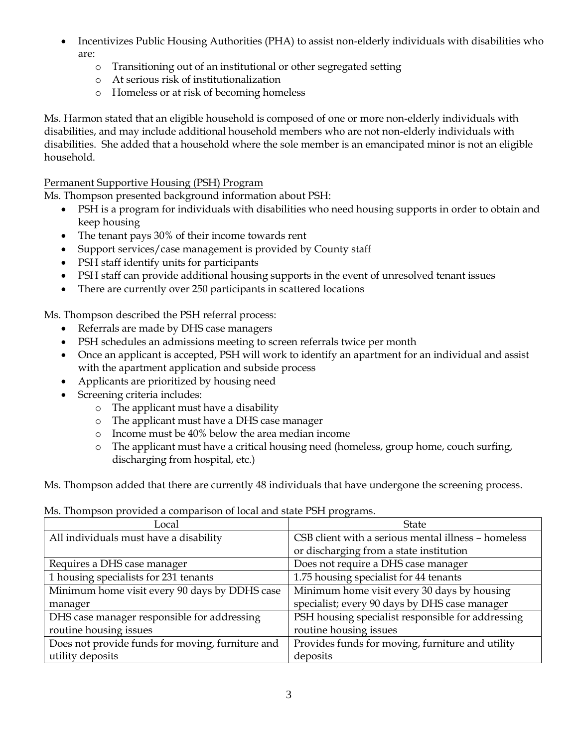- Incentivizes Public Housing Authorities (PHA) to assist non-elderly individuals with disabilities who are:
	- o Transitioning out of an institutional or other segregated setting
	- o At serious risk of institutionalization
	- o Homeless or at risk of becoming homeless

Ms. Harmon stated that an eligible household is composed of one or more non-elderly individuals with disabilities, and may include additional household members who are not non-elderly individuals with disabilities. She added that a household where the sole member is an emancipated minor is not an eligible household.

Permanent Supportive Housing (PSH) Program

Ms. Thompson presented background information about PSH:

- PSH is a program for individuals with disabilities who need housing supports in order to obtain and keep housing
- The tenant pays 30% of their income towards rent
- Support services/case management is provided by County staff
- PSH staff identify units for participants
- PSH staff can provide additional housing supports in the event of unresolved tenant issues
- There are currently over 250 participants in scattered locations

Ms. Thompson described the PSH referral process:

- Referrals are made by DHS case managers
- PSH schedules an admissions meeting to screen referrals twice per month
- Once an applicant is accepted, PSH will work to identify an apartment for an individual and assist with the apartment application and subside process
- Applicants are prioritized by housing need
- Screening criteria includes:
	- o The applicant must have a disability
	- o The applicant must have a DHS case manager
	- o Income must be 40% below the area median income
	- o The applicant must have a critical housing need (homeless, group home, couch surfing, discharging from hospital, etc.)

Ms. Thompson added that there are currently 48 individuals that have undergone the screening process.

| no, montpoon province a companioni or local and olate 1 or 1 programs. |                                                     |
|------------------------------------------------------------------------|-----------------------------------------------------|
| Local                                                                  | <b>State</b>                                        |
| All individuals must have a disability                                 | CSB client with a serious mental illness - homeless |
|                                                                        | or discharging from a state institution             |
| Requires a DHS case manager                                            | Does not require a DHS case manager                 |
| 1 housing specialists for 231 tenants                                  | 1.75 housing specialist for 44 tenants              |
| Minimum home visit every 90 days by DDHS case                          | Minimum home visit every 30 days by housing         |
| manager                                                                | specialist; every 90 days by DHS case manager       |
| DHS case manager responsible for addressing                            | PSH housing specialist responsible for addressing   |
| routine housing issues                                                 | routine housing issues                              |
| Does not provide funds for moving, furniture and                       | Provides funds for moving, furniture and utility    |
| utility deposits                                                       | deposits                                            |

Ms. Thompson provided a comparison of local and state PSH programs.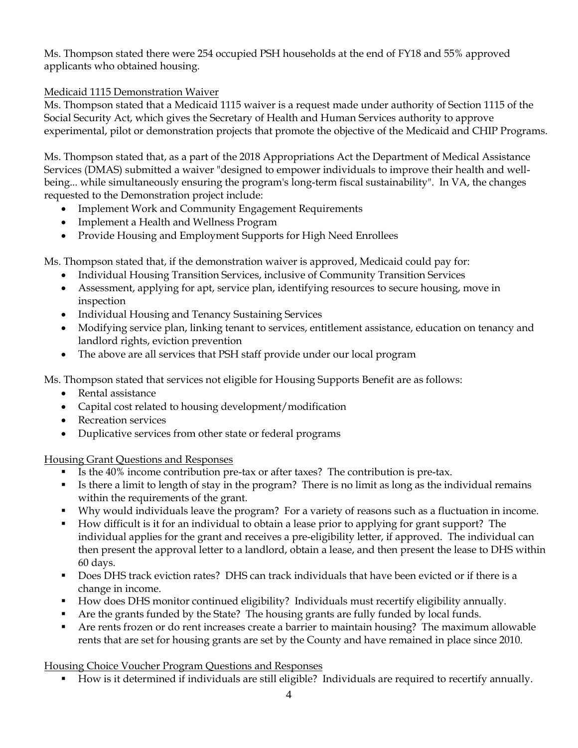Ms. Thompson stated there were 254 occupied PSH households at the end of FY18 and 55% approved applicants who obtained housing.

## Medicaid 1115 Demonstration Waiver

Ms. Thompson stated that a Medicaid 1115 waiver is a request made under authority of Section 1115 of the Social Security Act, which gives the Secretary of Health and Human Services authority to approve experimental, pilot or demonstration projects that promote the objective of the Medicaid and CHIP Programs.

Ms. Thompson stated that, as a part of the 2018 Appropriations Act the Department of Medical Assistance Services (DMAS) submitted a waiver "designed to empower individuals to improve their health and wellbeing... while simultaneously ensuring the program's long-term fiscal sustainability".In VA, the changes requested to the Demonstration project include:

- Implement Work and Community Engagement Requirements
- Implement a Health and Wellness Program
- Provide Housing and Employment Supports for High Need Enrollees

Ms. Thompson stated that, if the demonstration waiver is approved, Medicaid could pay for:

- Individual Housing Transition Services, inclusive of Community Transition Services
- Assessment, applying for apt, service plan, identifying resources to secure housing, move in inspection
- Individual Housing and Tenancy Sustaining Services
- Modifying service plan, linking tenant to services, entitlement assistance, education on tenancy and landlord rights, eviction prevention
- The above are all services that PSH staff provide under our local program

Ms. Thompson stated that services not eligible for Housing Supports Benefit are as follows:

- Rental assistance
- Capital cost related to housing development/modification
- Recreation services
- Duplicative services from other state or federal programs

Housing Grant Questions and Responses

- Is the 40% income contribution pre-tax or after taxes? The contribution is pre-tax.
- Is there a limit to length of stay in the program? There is no limit as long as the individual remains within the requirements of the grant.
- Why would individuals leave the program? For a variety of reasons such as a fluctuation in income.
- How difficult is it for an individual to obtain a lease prior to applying for grant support? The individual applies for the grant and receives a pre-eligibility letter, if approved. The individual can then present the approval letter to a landlord, obtain a lease, and then present the lease to DHS within 60 days.
- Does DHS track eviction rates? DHS can track individuals that have been evicted or if there is a change in income.
- How does DHS monitor continued eligibility? Individuals must recertify eligibility annually.
- Are the grants funded by the State? The housing grants are fully funded by local funds.
- Are rents frozen or do rent increases create a barrier to maintain housing? The maximum allowable rents that are set for housing grants are set by the County and have remained in place since 2010.

# Housing Choice Voucher Program Questions and Responses

▪ How is it determined if individuals are still eligible? Individuals are required to recertify annually.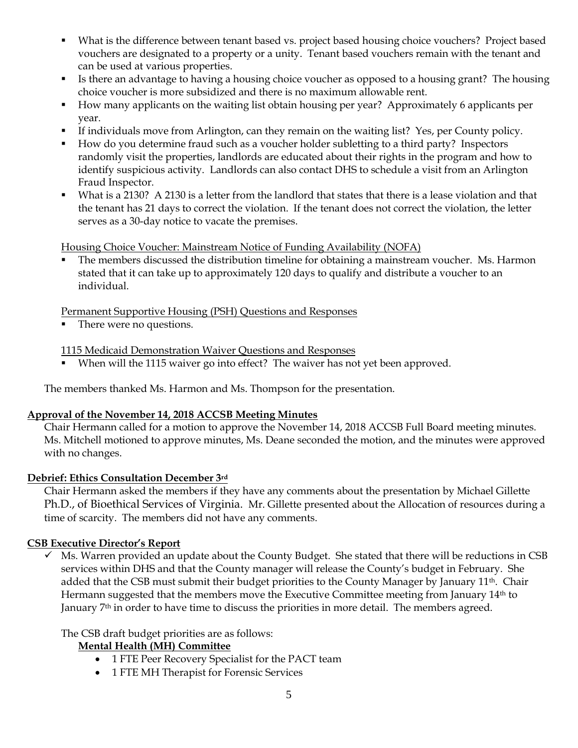- What is the difference between tenant based vs. project based housing choice vouchers? Project based vouchers are designated to a property or a unity. Tenant based vouchers remain with the tenant and can be used at various properties.
- Is there an advantage to having a housing choice voucher as opposed to a housing grant? The housing choice voucher is more subsidized and there is no maximum allowable rent.
- How many applicants on the waiting list obtain housing per year? Approximately 6 applicants per year.
- If individuals move from Arlington, can they remain on the waiting list? Yes, per County policy.
- How do you determine fraud such as a voucher holder subletting to a third party? Inspectors randomly visit the properties, landlords are educated about their rights in the program and how to identify suspicious activity. Landlords can also contact DHS to schedule a visit from an Arlington Fraud Inspector.
- What is a 2130? A 2130 is a letter from the landlord that states that there is a lease violation and that the tenant has 21 days to correct the violation. If the tenant does not correct the violation, the letter serves as a 30-day notice to vacate the premises.

Housing Choice Voucher: Mainstream Notice of Funding Availability (NOFA)

The members discussed the distribution timeline for obtaining a mainstream voucher. Ms. Harmon stated that it can take up to approximately 120 days to qualify and distribute a voucher to an individual.

Permanent Supportive Housing (PSH) Questions and Responses

■ There were no questions.

1115 Medicaid Demonstration Waiver Questions and Responses

■ When will the 1115 waiver go into effect? The waiver has not yet been approved.

The members thanked Ms. Harmon and Ms. Thompson for the presentation.

#### **Approval of the November 14, 2018 ACCSB Meeting Minutes**

Chair Hermann called for a motion to approve the November 14, 2018 ACCSB Full Board meeting minutes. Ms. Mitchell motioned to approve minutes, Ms. Deane seconded the motion, and the minutes were approved with no changes.

### **Debrief: Ethics Consultation December 3rd**

Chair Hermann asked the members if they have any comments about the presentation by Michael Gillette Ph.D., of Bioethical Services of Virginia. Mr. Gillette presented about the Allocation of resources during a time of scarcity. The members did not have any comments.

#### **CSB Executive Director's Report**

 $\checkmark$  Ms. Warren provided an update about the County Budget. She stated that there will be reductions in CSB services within DHS and that the County manager will release the County's budget in February. She added that the CSB must submit their budget priorities to the County Manager by January 11<sup>th</sup>. Chair Hermann suggested that the members move the Executive Committee meeting from January 14<sup>th</sup> to January 7<sup>th</sup> in order to have time to discuss the priorities in more detail. The members agreed.

The CSB draft budget priorities are as follows:

### **Mental Health (MH) Committee**

- 1 FTE Peer Recovery Specialist for the PACT team
- 1 FTE MH Therapist for Forensic Services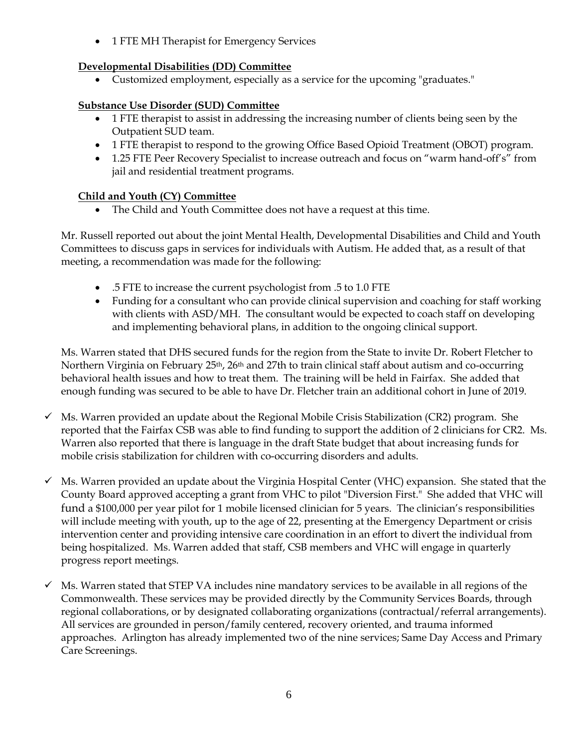• 1 FTE MH Therapist for Emergency Services

## **Developmental Disabilities (DD) Committee**

• Customized employment, especially as a service for the upcoming "graduates."

## **Substance Use Disorder (SUD) Committee**

- 1 FTE therapist to assist in addressing the increasing number of clients being seen by the Outpatient SUD team.
- 1 FTE therapist to respond to the growing Office Based Opioid Treatment (OBOT) program.
- 1.25 FTE Peer Recovery Specialist to increase outreach and focus on "warm hand-off's" from jail and residential treatment programs.

## **Child and Youth (CY) Committee**

• The Child and Youth Committee does not have a request at this time.

Mr. Russell reported out about the joint Mental Health, Developmental Disabilities and Child and Youth Committees to discuss gaps in services for individuals with Autism. He added that, as a result of that meeting, a recommendation was made for the following:

- .5 FTE to increase the current psychologist from .5 to 1.0 FTE
- Funding for a consultant who can provide clinical supervision and coaching for staff working with clients with ASD/MH. The consultant would be expected to coach staff on developing and implementing behavioral plans, in addition to the ongoing clinical support.

Ms. Warren stated that DHS secured funds for the region from the State to invite Dr. Robert Fletcher to Northern Virginia on February 25<sup>th</sup>, 26<sup>th</sup> and 27<sup>th</sup> to train clinical staff about autism and co-occurring behavioral health issues and how to treat them. The training will be held in Fairfax. She added that enough funding was secured to be able to have Dr. Fletcher train an additional cohort in June of 2019.

- $\checkmark$  Ms. Warren provided an update about the Regional Mobile Crisis Stabilization (CR2) program. She reported that the Fairfax CSB was able to find funding to support the addition of 2 clinicians for CR2. Ms. Warren also reported that there is language in the draft State budget that about increasing funds for mobile crisis stabilization for children with co-occurring disorders and adults.
- Ms. Warren provided an update about the Virginia Hospital Center (VHC) expansion. She stated that the County Board approved accepting a grant from VHC to pilot "Diversion First." She added that VHC will fund a \$100,000 per year pilot for 1 mobile licensed clinician for 5 years. The clinician's responsibilities will include meeting with youth, up to the age of 22, presenting at the Emergency Department or crisis intervention center and providing intensive care coordination in an effort to divert the individual from being hospitalized. Ms. Warren added that staff, CSB members and VHC will engage in quarterly progress report meetings.
- $\checkmark$  Ms. Warren stated that STEP VA includes nine mandatory services to be available in all regions of the Commonwealth. These services may be provided directly by the Community Services Boards, through regional collaborations, or by designated collaborating organizations (contractual/referral arrangements). All services are grounded in person/family centered, recovery oriented, and trauma informed approaches. Arlington has already implemented two of the nine services; Same Day Access and Primary Care Screenings.